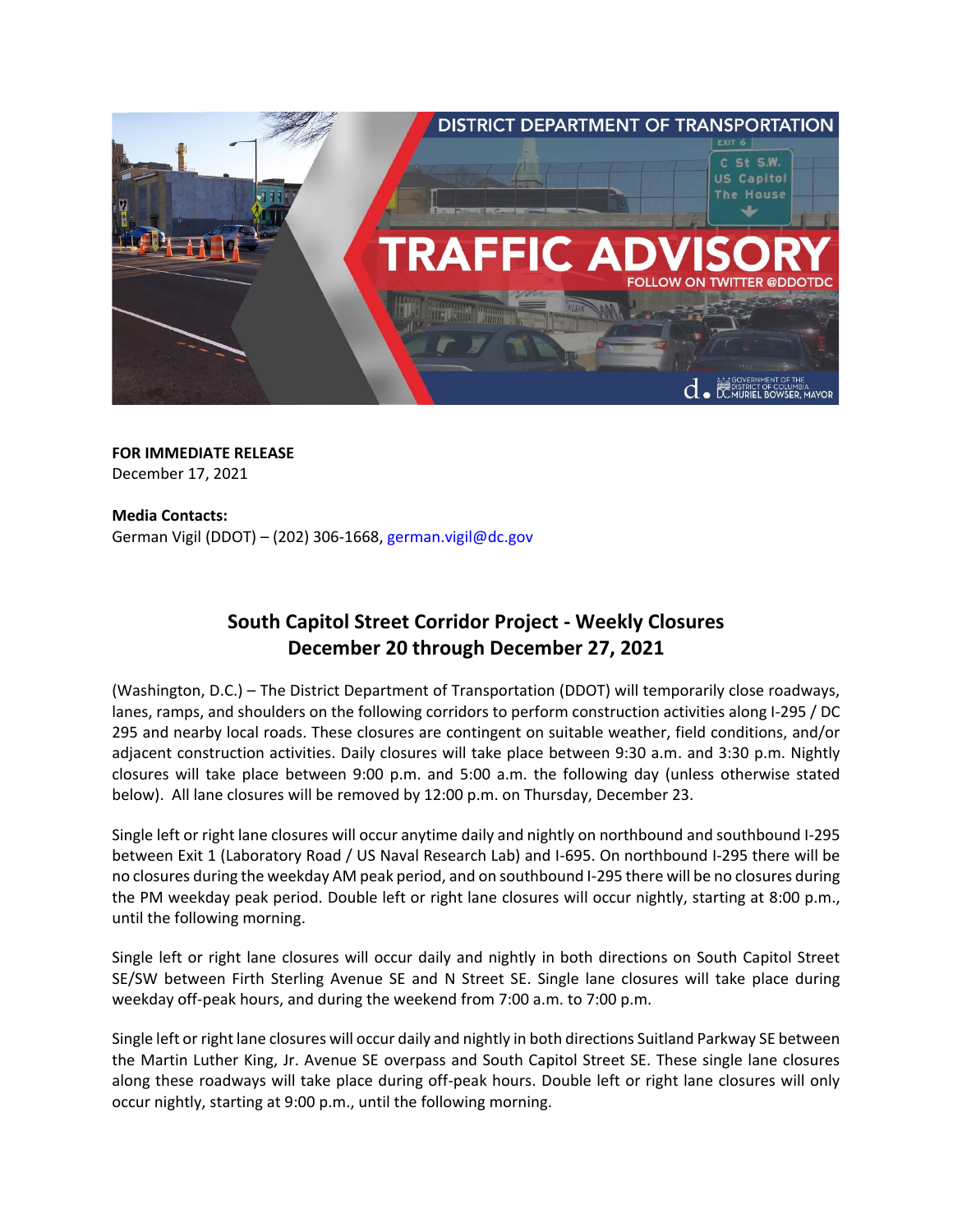

**FOR IMMEDIATE RELEASE**  December 17, 2021

**Media Contacts:**  German Vigil (DDOT) – (202) 306-1668, [german.vigil@dc.gov](mailto:german.vigil@dc.gov)

## **South Capitol Street Corridor Project - Weekly Closures December 20 through December 27, 2021**

(Washington, D.C.) – The District Department of Transportation (DDOT) will temporarily close roadways, lanes, ramps, and shoulders on the following corridors to perform construction activities along I-295 / DC 295 and nearby local roads. These closures are contingent on suitable weather, field conditions, and/or adjacent construction activities. Daily closures will take place between 9:30 a.m. and 3:30 p.m. Nightly closures will take place between 9:00 p.m. and 5:00 a.m. the following day (unless otherwise stated below). All lane closures will be removed by 12:00 p.m. on Thursday, December 23.

Single left or right lane closures will occur anytime daily and nightly on northbound and southbound I-295 between Exit 1 (Laboratory Road / US Naval Research Lab) and I-695. On northbound I-295 there will be no closures during the weekday AM peak period, and on southbound I-295 there will be no closures during the PM weekday peak period. Double left or right lane closures will occur nightly, starting at 8:00 p.m., until the following morning.

Single left or right lane closures will occur daily and nightly in both directions on South Capitol Street SE/SW between Firth Sterling Avenue SE and N Street SE. Single lane closures will take place during weekday off-peak hours, and during the weekend from 7:00 a.m. to 7:00 p.m.

Single left or right lane closures will occur daily and nightly in both directions Suitland Parkway SE between the Martin Luther King, Jr. Avenue SE overpass and South Capitol Street SE. These single lane closures along these roadways will take place during off-peak hours. Double left or right lane closures will only occur nightly, starting at 9:00 p.m., until the following morning.